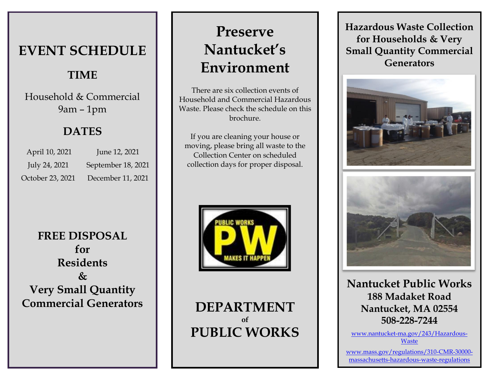# **EVENT SCHEDULE**

### **TIME**

Household & Commercial 9am – 1pm

### **DATES**

| April 10, 2021   | June 12, 2021      |
|------------------|--------------------|
| July 24, 2021    | September 18, 2021 |
| October 23, 2021 | December 11, 2021  |

# **FREE DISPOSAL for Residents & Very Small Quantity Commercial Generators**

# **Preserve Nantucket's Environment**

There are six collection events of Household and Commercial Hazardous Waste. Please check the schedule on this brochure.

If you are cleaning your house or moving, please bring all waste to the Collection Center on scheduled collection days for proper disposal.



**DEPARTMENT of PUBLIC WORKS** **Hazardous Waste Collection for Households & Very Small Quantity Commercial Generators**





**Nantucket Public Works 188 Madaket Road Nantucket, MA 02554 508-228-7244**

[www.nantucket-ma.gov/243/Hazardous-](http://www.nantucket-ma.gov/243/Hazardous-Waste)**[Waste](http://www.nantucket-ma.gov/243/Hazardous-Waste)** 

[www.mass.gov/regulations/310-CMR-30000](http://www.mass.gov/regulations/310-CMR-30000-massachusetts-hazardous-waste-regulations) [massachusetts-hazardous-waste-regulations](http://www.mass.gov/regulations/310-CMR-30000-massachusetts-hazardous-waste-regulations)